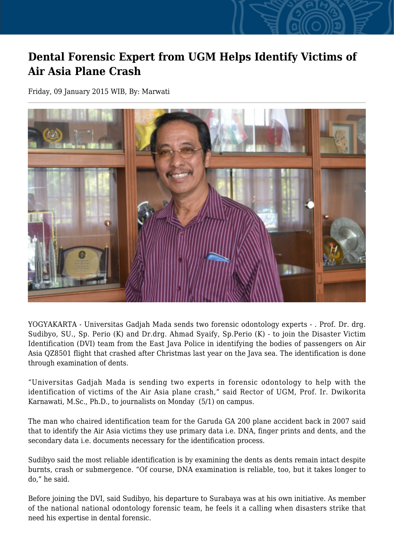## **Dental Forensic Expert from UGM Helps Identify Victims of Air Asia Plane Crash**

Friday, 09 January 2015 WIB, By: Marwati



YOGYAKARTA - Universitas Gadjah Mada sends two forensic odontology experts - . Prof. Dr. drg. Sudibyo, SU., Sp. Perio (K) and Dr.drg. Ahmad Syaify, Sp.Perio (K) - to join the Disaster Victim Identification (DVI) team from the East Java Police in identifying the bodies of passengers on Air Asia QZ8501 flight that crashed after Christmas last year on the Java sea. The identification is done through examination of dents.

"Universitas Gadjah Mada is sending two experts in forensic odontology to help with the identification of victims of the Air Asia plane crash," said Rector of UGM, Prof. Ir. Dwikorita Karnawati, M.Sc., Ph.D., to journalists on Monday (5/1) on campus.

The man who chaired identification team for the Garuda GA 200 plane accident back in 2007 said that to identify the Air Asia victims they use primary data i.e. DNA, finger prints and dents, and the secondary data i.e. documents necessary for the identification process.

Sudibyo said the most reliable identification is by examining the dents as dents remain intact despite burnts, crash or submergence. "Of course, DNA examination is reliable, too, but it takes longer to do," he said.

Before joining the DVI, said Sudibyo, his departure to Surabaya was at his own initiative. As member of the national national odontology forensic team, he feels it a calling when disasters strike that need his expertise in dental forensic.